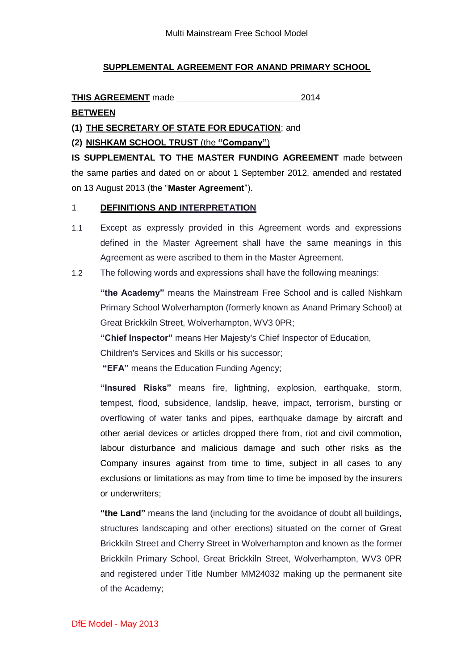# **SUPPLEMENTAL AGREEMENT FOR ANAND PRIMARY SCHOOL**

THIS AGREEMENT made 2014

# **BETWEEN**

**(1) THE SECRETARY OF STATE FOR EDUCATION**; and

**(2) NISHKAM SCHOOL TRUST** (the **"Company"**)

**IS SUPPLEMENTAL TO THE MASTER FUNDING AGREEMENT** made between the same parties and dated on or about 1 September 2012, amended and restated on 13 August 2013 (the "**Master Agreement**").

# 1 **DEFINITIONS AND INTERPRETATION**

- 1.1 Except as expressly provided in this Agreement words and expressions defined in the Master Agreement shall have the same meanings in this Agreement as were ascribed to them in the Master Agreement.
- 1.2 The following words and expressions shall have the following meanings:

**"the Academy"** means the Mainstream Free School and is called Nishkam Primary School Wolverhampton (formerly known as Anand Primary School) at Great Brickkiln Street, Wolverhampton, WV3 0PR;

**"Chief Inspector"** means Her Majesty's Chief Inspector of Education,

Children's Services and Skills or his successor;

**"EFA"** means the Education Funding Agency;

**"Insured Risks"** means fire, lightning, explosion, earthquake, storm, tempest, flood, subsidence, landslip, heave, impact, terrorism, bursting or overflowing of water tanks and pipes, earthquake damage by aircraft and other aerial devices or articles dropped there from, riot and civil commotion, labour disturbance and malicious damage and such other risks as the Company insures against from time to time, subject in all cases to any exclusions or limitations as may from time to time be imposed by the insurers or underwriters;

**"the Land"** means the land (including for the avoidance of doubt all buildings, structures landscaping and other erections) situated on the corner of Great Brickkiln Street and Cherry Street in Wolverhampton and known as the former Brickkiln Primary School, Great Brickkiln Street, Wolverhampton, WV3 0PR and registered under Title Number MM24032 making up the permanent site of the Academy;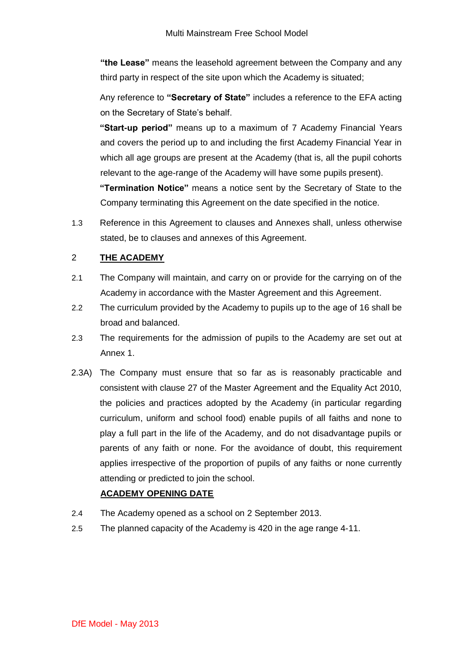**"the Lease"** means the leasehold agreement between the Company and any third party in respect of the site upon which the Academy is situated;

Any reference to **"Secretary of State"** includes a reference to the EFA acting on the Secretary of State's behalf.

**"Start-up period"** means up to a maximum of 7 Academy Financial Years and covers the period up to and including the first Academy Financial Year in which all age groups are present at the Academy (that is, all the pupil cohorts relevant to the age-range of the Academy will have some pupils present).

**"Termination Notice"** means a notice sent by the Secretary of State to the Company terminating this Agreement on the date specified in the notice.

1.3 Reference in this Agreement to clauses and Annexes shall, unless otherwise stated, be to clauses and annexes of this Agreement.

# 2 **THE ACADEMY**

- 2.1 The Company will maintain, and carry on or provide for the carrying on of the Academy in accordance with the Master Agreement and this Agreement.
- 2.2 The curriculum provided by the Academy to pupils up to the age of 16 shall be broad and balanced.
- 2.3 The requirements for the admission of pupils to the Academy are set out at Annex 1.
- 2.3A) The Company must ensure that so far as is reasonably practicable and consistent with clause 27 of the Master Agreement and the Equality Act 2010, the policies and practices adopted by the Academy (in particular regarding curriculum, uniform and school food) enable pupils of all faiths and none to play a full part in the life of the Academy, and do not disadvantage pupils or parents of any faith or none. For the avoidance of doubt, this requirement applies irrespective of the proportion of pupils of any faiths or none currently attending or predicted to join the school.

# **ACADEMY OPENING DATE**

- 2.4 The Academy opened as a school on 2 September 2013.
- 2.5 The planned capacity of the Academy is 420 in the age range 4-11.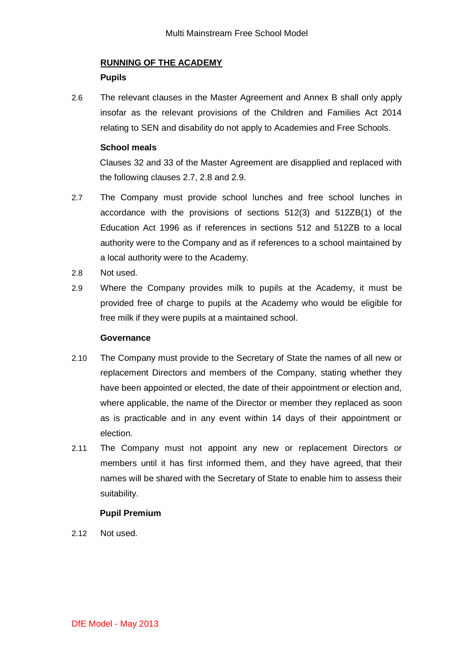# **RUNNING OF THE ACADEMY**

### **Pupils**

2.6 The relevant clauses in the Master Agreement and Annex B shall only apply insofar as the relevant provisions of the Children and Families Act 2014 relating to SEN and disability do not apply to Academies and Free Schools.

### **School meals**

Clauses 32 and 33 of the Master Agreement are disapplied and replaced with the following clauses 2.7, 2.8 and 2.9.

- 2.7 The Company must provide school lunches and free school lunches in accordance with the provisions of sections 512(3) and 512ZB(1) of the Education Act 1996 as if references in sections 512 and 512ZB to a local authority were to the Company and as if references to a school maintained by a local authority were to the Academy.
- 2.8 Not used.
- 2.9 Where the Company provides milk to pupils at the Academy, it must be provided free of charge to pupils at the Academy who would be eligible for free milk if they were pupils at a maintained school.

#### **Governance**

- 2.10 The Company must provide to the Secretary of State the names of all new or replacement Directors and members of the Company, stating whether they have been appointed or elected, the date of their appointment or election and, where applicable, the name of the Director or member they replaced as soon as is practicable and in any event within 14 days of their appointment or election.
- 2.11 The Company must not appoint any new or replacement Directors or members until it has first informed them, and they have agreed, that their names will be shared with the Secretary of State to enable him to assess their suitability.

### **Pupil Premium**

2.12 Not used.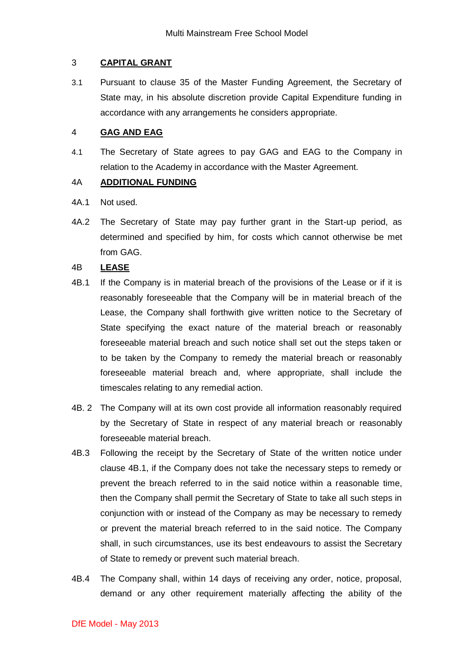### 3 **CAPITAL GRANT**

3.1 Pursuant to clause 35 of the Master Funding Agreement, the Secretary of State may, in his absolute discretion provide Capital Expenditure funding in accordance with any arrangements he considers appropriate.

## 4 **GAG AND EAG**

4.1 The Secretary of State agrees to pay GAG and EAG to the Company in relation to the Academy in accordance with the Master Agreement.

# 4A **ADDITIONAL FUNDING**

- 4A.1 Not used.
- 4A.2 The Secretary of State may pay further grant in the Start-up period, as determined and specified by him, for costs which cannot otherwise be met from GAG.

# 4B **LEASE**

- 4B.1 If the Company is in material breach of the provisions of the Lease or if it is reasonably foreseeable that the Company will be in material breach of the Lease, the Company shall forthwith give written notice to the Secretary of State specifying the exact nature of the material breach or reasonably foreseeable material breach and such notice shall set out the steps taken or to be taken by the Company to remedy the material breach or reasonably foreseeable material breach and, where appropriate, shall include the timescales relating to any remedial action.
- 4B. 2 The Company will at its own cost provide all information reasonably required by the Secretary of State in respect of any material breach or reasonably foreseeable material breach.
- 4B.3 Following the receipt by the Secretary of State of the written notice under clause 4B.1, if the Company does not take the necessary steps to remedy or prevent the breach referred to in the said notice within a reasonable time, then the Company shall permit the Secretary of State to take all such steps in conjunction with or instead of the Company as may be necessary to remedy or prevent the material breach referred to in the said notice. The Company shall, in such circumstances, use its best endeavours to assist the Secretary of State to remedy or prevent such material breach.
- 4B.4 The Company shall, within 14 days of receiving any order, notice, proposal, demand or any other requirement materially affecting the ability of the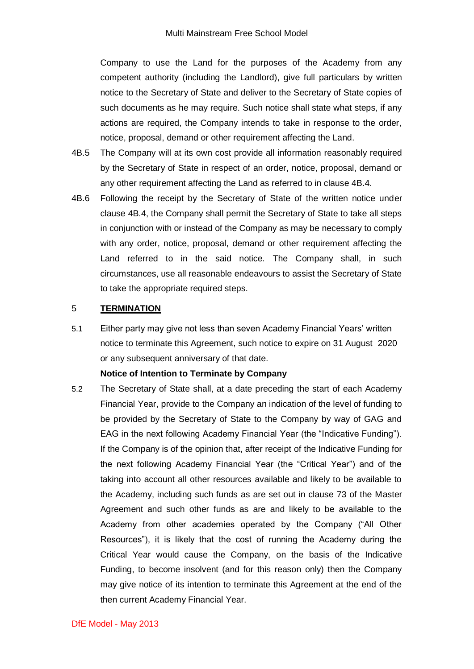Company to use the Land for the purposes of the Academy from any competent authority (including the Landlord), give full particulars by written notice to the Secretary of State and deliver to the Secretary of State copies of such documents as he may require. Such notice shall state what steps, if any actions are required, the Company intends to take in response to the order, notice, proposal, demand or other requirement affecting the Land.

- 4B.5 The Company will at its own cost provide all information reasonably required by the Secretary of State in respect of an order, notice, proposal, demand or any other requirement affecting the Land as referred to in clause 4B.4.
- 4B.6 Following the receipt by the Secretary of State of the written notice under clause 4B.4, the Company shall permit the Secretary of State to take all steps in conjunction with or instead of the Company as may be necessary to comply with any order, notice, proposal, demand or other requirement affecting the Land referred to in the said notice. The Company shall, in such circumstances, use all reasonable endeavours to assist the Secretary of State to take the appropriate required steps.

#### 5 **TERMINATION**

5.1 Either party may give not less than seven Academy Financial Years' written notice to terminate this Agreement, such notice to expire on 31 August 2020 or any subsequent anniversary of that date.

#### **Notice of Intention to Terminate by Company**

5.2 The Secretary of State shall, at a date preceding the start of each Academy Financial Year, provide to the Company an indication of the level of funding to be provided by the Secretary of State to the Company by way of GAG and EAG in the next following Academy Financial Year (the "Indicative Funding"). If the Company is of the opinion that, after receipt of the Indicative Funding for the next following Academy Financial Year (the "Critical Year") and of the taking into account all other resources available and likely to be available to the Academy, including such funds as are set out in clause 73 of the Master Agreement and such other funds as are and likely to be available to the Academy from other academies operated by the Company ("All Other Resources"), it is likely that the cost of running the Academy during the Critical Year would cause the Company, on the basis of the Indicative Funding, to become insolvent (and for this reason only) then the Company may give notice of its intention to terminate this Agreement at the end of the then current Academy Financial Year.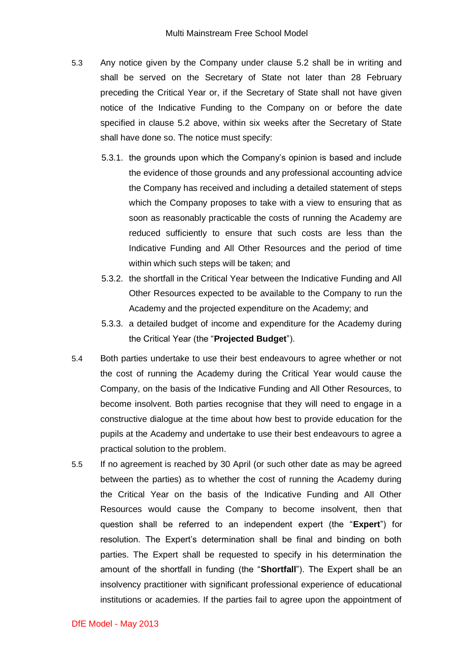- 5.3 Any notice given by the Company under clause 5.2 shall be in writing and shall be served on the Secretary of State not later than 28 February preceding the Critical Year or, if the Secretary of State shall not have given notice of the Indicative Funding to the Company on or before the date specified in clause 5.2 above, within six weeks after the Secretary of State shall have done so. The notice must specify:
	- 5.3.1. the grounds upon which the Company's opinion is based and include the evidence of those grounds and any professional accounting advice the Company has received and including a detailed statement of steps which the Company proposes to take with a view to ensuring that as soon as reasonably practicable the costs of running the Academy are reduced sufficiently to ensure that such costs are less than the Indicative Funding and All Other Resources and the period of time within which such steps will be taken; and
	- 5.3.2. the shortfall in the Critical Year between the Indicative Funding and All Other Resources expected to be available to the Company to run the Academy and the projected expenditure on the Academy; and
	- 5.3.3. a detailed budget of income and expenditure for the Academy during the Critical Year (the "**Projected Budget**").
- 5.4 Both parties undertake to use their best endeavours to agree whether or not the cost of running the Academy during the Critical Year would cause the Company, on the basis of the Indicative Funding and All Other Resources, to become insolvent. Both parties recognise that they will need to engage in a constructive dialogue at the time about how best to provide education for the pupils at the Academy and undertake to use their best endeavours to agree a practical solution to the problem.
- 5.5 If no agreement is reached by 30 April (or such other date as may be agreed between the parties) as to whether the cost of running the Academy during the Critical Year on the basis of the Indicative Funding and All Other Resources would cause the Company to become insolvent, then that question shall be referred to an independent expert (the "**Expert**") for resolution. The Expert's determination shall be final and binding on both parties. The Expert shall be requested to specify in his determination the amount of the shortfall in funding (the "**Shortfall**"). The Expert shall be an insolvency practitioner with significant professional experience of educational institutions or academies. If the parties fail to agree upon the appointment of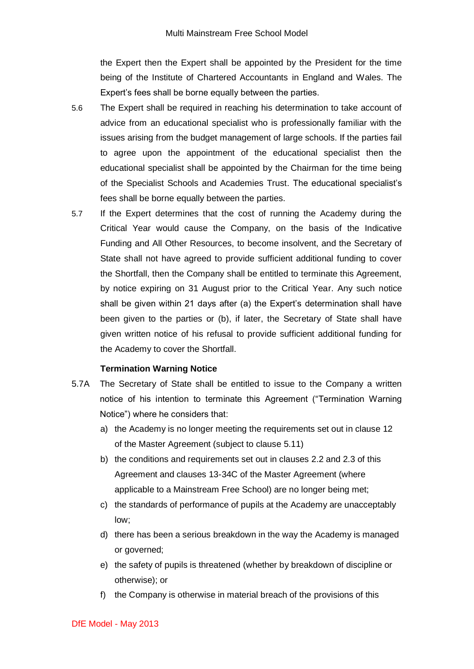the Expert then the Expert shall be appointed by the President for the time being of the Institute of Chartered Accountants in England and Wales. The Expert's fees shall be borne equally between the parties.

- 5.6 The Expert shall be required in reaching his determination to take account of advice from an educational specialist who is professionally familiar with the issues arising from the budget management of large schools. If the parties fail to agree upon the appointment of the educational specialist then the educational specialist shall be appointed by the Chairman for the time being of the Specialist Schools and Academies Trust. The educational specialist's fees shall be borne equally between the parties.
- 5.7 If the Expert determines that the cost of running the Academy during the Critical Year would cause the Company, on the basis of the Indicative Funding and All Other Resources, to become insolvent, and the Secretary of State shall not have agreed to provide sufficient additional funding to cover the Shortfall, then the Company shall be entitled to terminate this Agreement, by notice expiring on 31 August prior to the Critical Year. Any such notice shall be given within 21 days after (a) the Expert's determination shall have been given to the parties or (b), if later, the Secretary of State shall have given written notice of his refusal to provide sufficient additional funding for the Academy to cover the Shortfall.

### **Termination Warning Notice**

- 5.7A The Secretary of State shall be entitled to issue to the Company a written notice of his intention to terminate this Agreement ("Termination Warning Notice") where he considers that:
	- a) the Academy is no longer meeting the requirements set out in clause 12 of the Master Agreement (subject to clause 5.11)
	- b) the conditions and requirements set out in clauses 2.2 and 2.3 of this Agreement and clauses 13-34C of the Master Agreement (where applicable to a Mainstream Free School) are no longer being met;
	- c) the standards of performance of pupils at the Academy are unacceptably low;
	- d) there has been a serious breakdown in the way the Academy is managed or governed;
	- e) the safety of pupils is threatened (whether by breakdown of discipline or otherwise); or
	- f) the Company is otherwise in material breach of the provisions of this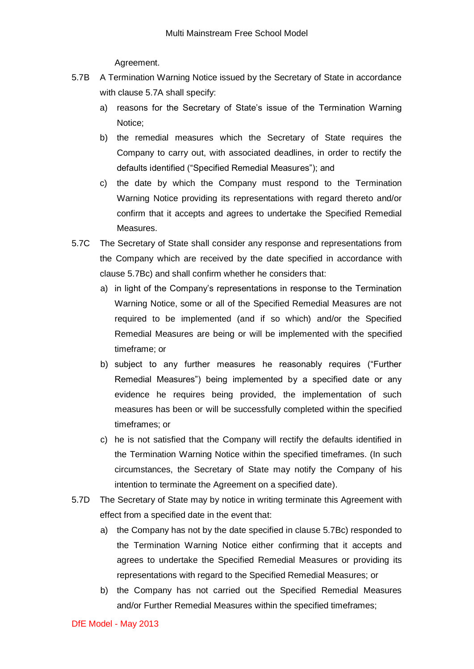Agreement.

- 5.7B A Termination Warning Notice issued by the Secretary of State in accordance with clause 5.7A shall specify:
	- a) reasons for the Secretary of State's issue of the Termination Warning Notice;
	- b) the remedial measures which the Secretary of State requires the Company to carry out, with associated deadlines, in order to rectify the defaults identified ("Specified Remedial Measures"); and
	- c) the date by which the Company must respond to the Termination Warning Notice providing its representations with regard thereto and/or confirm that it accepts and agrees to undertake the Specified Remedial Measures.
- 5.7C The Secretary of State shall consider any response and representations from the Company which are received by the date specified in accordance with clause 5.7Bc) and shall confirm whether he considers that:
	- a) in light of the Company's representations in response to the Termination Warning Notice, some or all of the Specified Remedial Measures are not required to be implemented (and if so which) and/or the Specified Remedial Measures are being or will be implemented with the specified timeframe; or
	- b) subject to any further measures he reasonably requires ("Further Remedial Measures") being implemented by a specified date or any evidence he requires being provided, the implementation of such measures has been or will be successfully completed within the specified timeframes; or
	- c) he is not satisfied that the Company will rectify the defaults identified in the Termination Warning Notice within the specified timeframes. (In such circumstances, the Secretary of State may notify the Company of his intention to terminate the Agreement on a specified date).
- 5.7D The Secretary of State may by notice in writing terminate this Agreement with effect from a specified date in the event that:
	- a) the Company has not by the date specified in clause 5.7Bc) responded to the Termination Warning Notice either confirming that it accepts and agrees to undertake the Specified Remedial Measures or providing its representations with regard to the Specified Remedial Measures; or
	- b) the Company has not carried out the Specified Remedial Measures and/or Further Remedial Measures within the specified timeframes;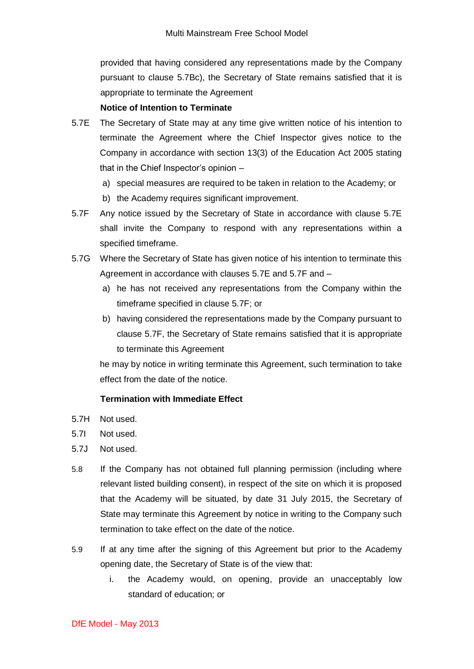provided that having considered any representations made by the Company pursuant to clause 5.7Bc), the Secretary of State remains satisfied that it is appropriate to terminate the Agreement

### **Notice of Intention to Terminate**

- 5.7E The Secretary of State may at any time give written notice of his intention to terminate the Agreement where the Chief Inspector gives notice to the Company in accordance with section 13(3) of the Education Act 2005 stating that in the Chief Inspector's opinion –
	- a) special measures are required to be taken in relation to the Academy; or
	- b) the Academy requires significant improvement.
- 5.7F Any notice issued by the Secretary of State in accordance with clause 5.7E shall invite the Company to respond with any representations within a specified timeframe.
- 5.7G Where the Secretary of State has given notice of his intention to terminate this Agreement in accordance with clauses 5.7E and 5.7F and
	- a) he has not received any representations from the Company within the timeframe specified in clause 5.7F; or
	- b) having considered the representations made by the Company pursuant to clause 5.7F, the Secretary of State remains satisfied that it is appropriate to terminate this Agreement

he may by notice in writing terminate this Agreement, such termination to take effect from the date of the notice.

#### **Termination with Immediate Effect**

- 5.7H Not used.
- 5.7I Not used.
- 5.7J Not used.
- 5.8 If the Company has not obtained full planning permission (including where relevant listed building consent), in respect of the site on which it is proposed that the Academy will be situated, by date 31 July 2015, the Secretary of State may terminate this Agreement by notice in writing to the Company such termination to take effect on the date of the notice.
- 5.9 If at any time after the signing of this Agreement but prior to the Academy opening date, the Secretary of State is of the view that:
	- i. the Academy would, on opening, provide an unacceptably low standard of education; or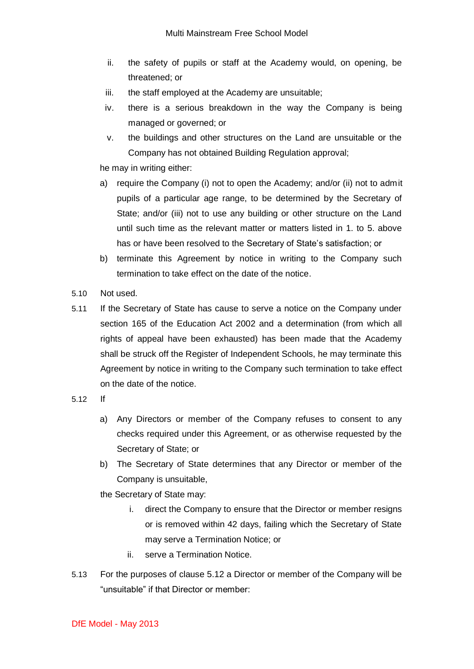- ii. the safety of pupils or staff at the Academy would, on opening, be threatened; or
- iii. the staff employed at the Academy are unsuitable;
- iv. there is a serious breakdown in the way the Company is being managed or governed; or
- v. the buildings and other structures on the Land are unsuitable or the Company has not obtained Building Regulation approval;

he may in writing either:

- a) require the Company (i) not to open the Academy; and/or (ii) not to admit pupils of a particular age range, to be determined by the Secretary of State; and/or (iii) not to use any building or other structure on the Land until such time as the relevant matter or matters listed in 1. to 5. above has or have been resolved to the Secretary of State's satisfaction; or
- b) terminate this Agreement by notice in writing to the Company such termination to take effect on the date of the notice.
- 5.10 Not used.
- 5.11 If the Secretary of State has cause to serve a notice on the Company under section 165 of the Education Act 2002 and a determination (from which all rights of appeal have been exhausted) has been made that the Academy shall be struck off the Register of Independent Schools, he may terminate this Agreement by notice in writing to the Company such termination to take effect on the date of the notice.
- 5.12 If
	- a) Any Directors or member of the Company refuses to consent to any checks required under this Agreement, or as otherwise requested by the Secretary of State; or
	- b) The Secretary of State determines that any Director or member of the Company is unsuitable,
	- the Secretary of State may:
		- i. direct the Company to ensure that the Director or member resigns or is removed within 42 days, failing which the Secretary of State may serve a Termination Notice; or
		- ii. serve a Termination Notice.
- 5.13 For the purposes of clause 5.12 a Director or member of the Company will be "unsuitable" if that Director or member: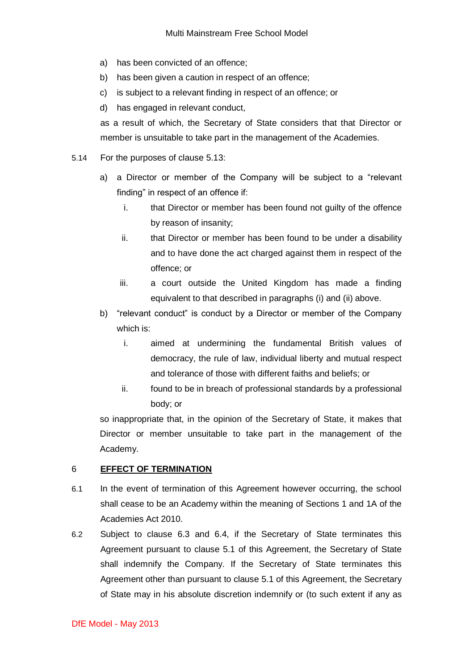- a) has been convicted of an offence;
- b) has been given a caution in respect of an offence;
- c) is subject to a relevant finding in respect of an offence; or
- d) has engaged in relevant conduct,

as a result of which, the Secretary of State considers that that Director or member is unsuitable to take part in the management of the Academies.

- 5.14 For the purposes of clause 5.13:
	- a) a Director or member of the Company will be subject to a "relevant finding" in respect of an offence if:
		- i. that Director or member has been found not guilty of the offence by reason of insanity;
		- ii. that Director or member has been found to be under a disability and to have done the act charged against them in respect of the offence; or
		- iii. a court outside the United Kingdom has made a finding equivalent to that described in paragraphs (i) and (ii) above.
	- b) "relevant conduct" is conduct by a Director or member of the Company which is:
		- i. aimed at undermining the fundamental British values of democracy, the rule of law, individual liberty and mutual respect and tolerance of those with different faiths and beliefs; or
		- ii. found to be in breach of professional standards by a professional body; or

so inappropriate that, in the opinion of the Secretary of State, it makes that Director or member unsuitable to take part in the management of the Academy.

#### 6 **EFFECT OF TERMINATION**

- 6.1 In the event of termination of this Agreement however occurring, the school shall cease to be an Academy within the meaning of Sections 1 and 1A of the Academies Act 2010.
- 6.2 Subject to clause 6.3 and 6.4, if the Secretary of State terminates this Agreement pursuant to clause 5.1 of this Agreement, the Secretary of State shall indemnify the Company. If the Secretary of State terminates this Agreement other than pursuant to clause 5.1 of this Agreement, the Secretary of State may in his absolute discretion indemnify or (to such extent if any as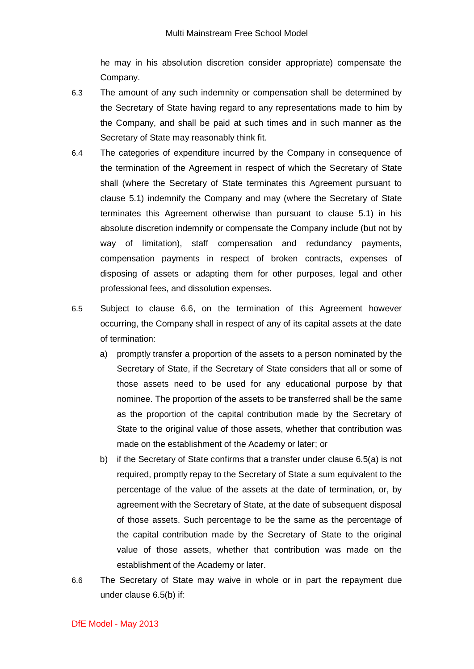he may in his absolution discretion consider appropriate) compensate the Company.

- 6.3 The amount of any such indemnity or compensation shall be determined by the Secretary of State having regard to any representations made to him by the Company, and shall be paid at such times and in such manner as the Secretary of State may reasonably think fit.
- 6.4 The categories of expenditure incurred by the Company in consequence of the termination of the Agreement in respect of which the Secretary of State shall (where the Secretary of State terminates this Agreement pursuant to clause 5.1) indemnify the Company and may (where the Secretary of State terminates this Agreement otherwise than pursuant to clause 5.1) in his absolute discretion indemnify or compensate the Company include (but not by way of limitation), staff compensation and redundancy payments, compensation payments in respect of broken contracts, expenses of disposing of assets or adapting them for other purposes, legal and other professional fees, and dissolution expenses.
- 6.5 Subject to clause 6.6, on the termination of this Agreement however occurring, the Company shall in respect of any of its capital assets at the date of termination:
	- a) promptly transfer a proportion of the assets to a person nominated by the Secretary of State, if the Secretary of State considers that all or some of those assets need to be used for any educational purpose by that nominee. The proportion of the assets to be transferred shall be the same as the proportion of the capital contribution made by the Secretary of State to the original value of those assets, whether that contribution was made on the establishment of the Academy or later; or
	- b) if the Secretary of State confirms that a transfer under clause 6.5(a) is not required, promptly repay to the Secretary of State a sum equivalent to the percentage of the value of the assets at the date of termination, or, by agreement with the Secretary of State, at the date of subsequent disposal of those assets. Such percentage to be the same as the percentage of the capital contribution made by the Secretary of State to the original value of those assets, whether that contribution was made on the establishment of the Academy or later.
- 6.6 The Secretary of State may waive in whole or in part the repayment due under clause 6.5(b) if: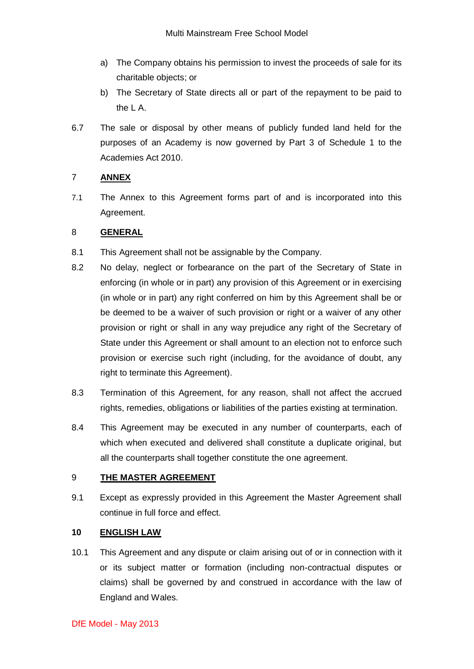- a) The Company obtains his permission to invest the proceeds of sale for its charitable objects; or
- b) The Secretary of State directs all or part of the repayment to be paid to the L A.
- 6.7 The sale or disposal by other means of publicly funded land held for the purposes of an Academy is now governed by Part 3 of Schedule 1 to the Academies Act 2010.

# 7 **ANNEX**

7.1 The Annex to this Agreement forms part of and is incorporated into this Agreement.

# 8 **GENERAL**

- 8.1 This Agreement shall not be assignable by the Company.
- 8.2 No delay, neglect or forbearance on the part of the Secretary of State in enforcing (in whole or in part) any provision of this Agreement or in exercising (in whole or in part) any right conferred on him by this Agreement shall be or be deemed to be a waiver of such provision or right or a waiver of any other provision or right or shall in any way prejudice any right of the Secretary of State under this Agreement or shall amount to an election not to enforce such provision or exercise such right (including, for the avoidance of doubt, any right to terminate this Agreement).
- 8.3 Termination of this Agreement, for any reason, shall not affect the accrued rights, remedies, obligations or liabilities of the parties existing at termination.
- 8.4 This Agreement may be executed in any number of counterparts, each of which when executed and delivered shall constitute a duplicate original, but all the counterparts shall together constitute the one agreement.

### 9 **THE MASTER AGREEMENT**

9.1 Except as expressly provided in this Agreement the Master Agreement shall continue in full force and effect.

# **10 ENGLISH LAW**

10.1 This Agreement and any dispute or claim arising out of or in connection with it or its subject matter or formation (including non-contractual disputes or claims) shall be governed by and construed in accordance with the law of England and Wales.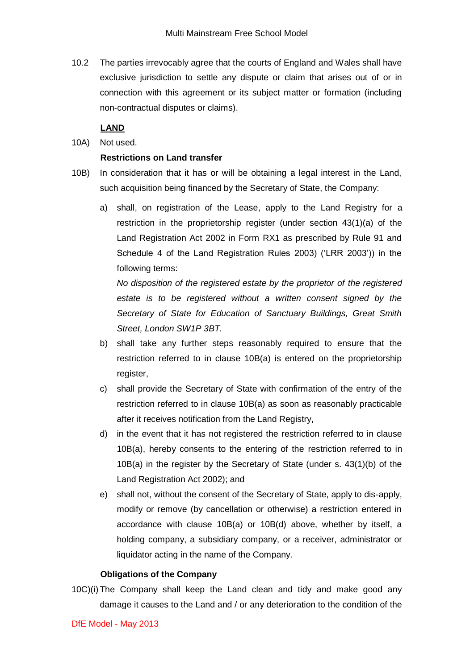10.2 The parties irrevocably agree that the courts of England and Wales shall have exclusive jurisdiction to settle any dispute or claim that arises out of or in connection with this agreement or its subject matter or formation (including non-contractual disputes or claims).

# **LAND**

10A) Not used.

## **Restrictions on Land transfer**

- 10B) In consideration that it has or will be obtaining a legal interest in the Land, such acquisition being financed by the Secretary of State, the Company:
	- a) shall, on registration of the Lease, apply to the Land Registry for a restriction in the proprietorship register (under section 43(1)(a) of the Land Registration Act 2002 in Form RX1 as prescribed by Rule 91 and Schedule 4 of the Land Registration Rules 2003) ('LRR 2003')) in the following terms:

*No disposition of the registered estate by the proprietor of the registered*  estate is to be registered without a written consent signed by the *Secretary of State for Education of Sanctuary Buildings, Great Smith Street, London SW1P 3BT.*

- b) shall take any further steps reasonably required to ensure that the restriction referred to in clause 10B(a) is entered on the proprietorship register,
- c) shall provide the Secretary of State with confirmation of the entry of the restriction referred to in clause 10B(a) as soon as reasonably practicable after it receives notification from the Land Registry,
- d) in the event that it has not registered the restriction referred to in clause 10B(a), hereby consents to the entering of the restriction referred to in 10B(a) in the register by the Secretary of State (under s. 43(1)(b) of the Land Registration Act 2002); and
- e) shall not, without the consent of the Secretary of State, apply to dis-apply, modify or remove (by cancellation or otherwise) a restriction entered in accordance with clause 10B(a) or 10B(d) above, whether by itself, a holding company, a subsidiary company, or a receiver, administrator or liquidator acting in the name of the Company.

## **Obligations of the Company**

10C)(i) The Company shall keep the Land clean and tidy and make good any damage it causes to the Land and / or any deterioration to the condition of the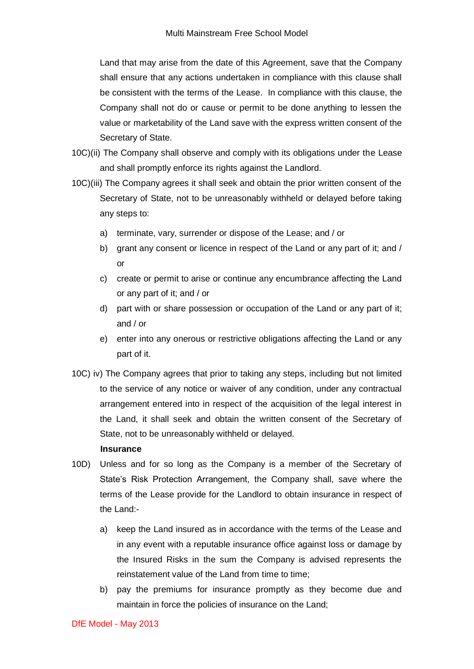Land that may arise from the date of this Agreement, save that the Company shall ensure that any actions undertaken in compliance with this clause shall be consistent with the terms of the Lease. In compliance with this clause, the Company shall not do or cause or permit to be done anything to lessen the value or marketability of the Land save with the express written consent of the Secretary of State.

- 10C)(ii) The Company shall observe and comply with its obligations under the Lease and shall promptly enforce its rights against the Landlord.
- 10C)(iii) The Company agrees it shall seek and obtain the prior written consent of the Secretary of State, not to be unreasonably withheld or delayed before taking any steps to:
	- a) terminate, vary, surrender or dispose of the Lease; and / or
	- b) grant any consent or licence in respect of the Land or any part of it; and / or
	- c) create or permit to arise or continue any encumbrance affecting the Land or any part of it; and / or
	- d) part with or share possession or occupation of the Land or any part of it; and / or
	- e) enter into any onerous or restrictive obligations affecting the Land or any part of it.
- 10C) iv) The Company agrees that prior to taking any steps, including but not limited to the service of any notice or waiver of any condition, under any contractual arrangement entered into in respect of the acquisition of the legal interest in the Land, it shall seek and obtain the written consent of the Secretary of State, not to be unreasonably withheld or delayed.

#### **Insurance**

- 10D) Unless and for so long as the Company is a member of the Secretary of State's Risk Protection Arrangement, the Company shall, save where the terms of the Lease provide for the Landlord to obtain insurance in respect of the Land:
	- a) keep the Land insured as in accordance with the terms of the Lease and in any event with a reputable insurance office against loss or damage by the Insured Risks in the sum the Company is advised represents the reinstatement value of the Land from time to time;
	- b) pay the premiums for insurance promptly as they become due and maintain in force the policies of insurance on the Land;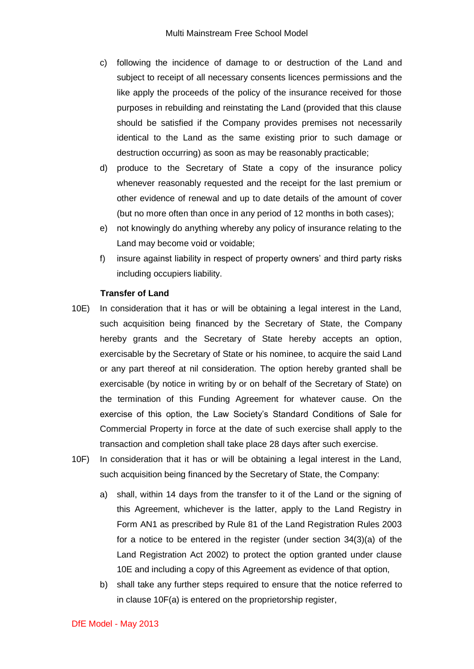- c) following the incidence of damage to or destruction of the Land and subject to receipt of all necessary consents licences permissions and the like apply the proceeds of the policy of the insurance received for those purposes in rebuilding and reinstating the Land (provided that this clause should be satisfied if the Company provides premises not necessarily identical to the Land as the same existing prior to such damage or destruction occurring) as soon as may be reasonably practicable;
- d) produce to the Secretary of State a copy of the insurance policy whenever reasonably requested and the receipt for the last premium or other evidence of renewal and up to date details of the amount of cover (but no more often than once in any period of 12 months in both cases);
- e) not knowingly do anything whereby any policy of insurance relating to the Land may become void or voidable;
- f) insure against liability in respect of property owners' and third party risks including occupiers liability.

### **Transfer of Land**

- 10E) In consideration that it has or will be obtaining a legal interest in the Land, such acquisition being financed by the Secretary of State, the Company hereby grants and the Secretary of State hereby accepts an option, exercisable by the Secretary of State or his nominee, to acquire the said Land or any part thereof at nil consideration. The option hereby granted shall be exercisable (by notice in writing by or on behalf of the Secretary of State) on the termination of this Funding Agreement for whatever cause. On the exercise of this option, the Law Society's Standard Conditions of Sale for Commercial Property in force at the date of such exercise shall apply to the transaction and completion shall take place 28 days after such exercise.
- 10F) In consideration that it has or will be obtaining a legal interest in the Land, such acquisition being financed by the Secretary of State, the Company:
	- a) shall, within 14 days from the transfer to it of the Land or the signing of this Agreement, whichever is the latter, apply to the Land Registry in Form AN1 as prescribed by Rule 81 of the Land Registration Rules 2003 for a notice to be entered in the register (under section 34(3)(a) of the Land Registration Act 2002) to protect the option granted under clause 10E and including a copy of this Agreement as evidence of that option,
	- b) shall take any further steps required to ensure that the notice referred to in clause 10F(a) is entered on the proprietorship register,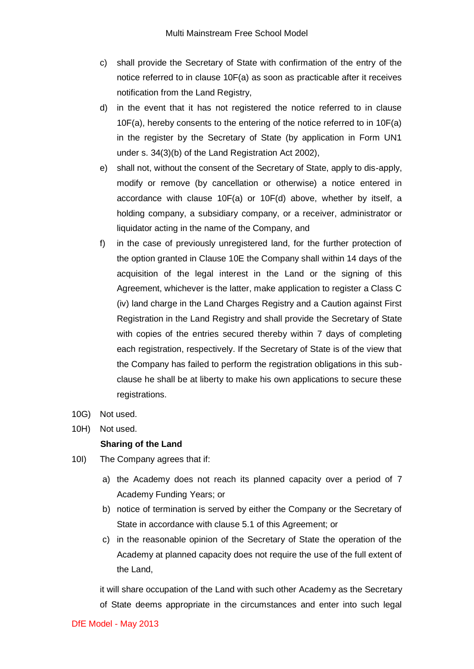- c) shall provide the Secretary of State with confirmation of the entry of the notice referred to in clause 10F(a) as soon as practicable after it receives notification from the Land Registry,
- d) in the event that it has not registered the notice referred to in clause 10F(a), hereby consents to the entering of the notice referred to in 10F(a) in the register by the Secretary of State (by application in Form UN1 under s. 34(3)(b) of the Land Registration Act 2002),
- e) shall not, without the consent of the Secretary of State, apply to dis-apply, modify or remove (by cancellation or otherwise) a notice entered in accordance with clause 10F(a) or 10F(d) above, whether by itself, a holding company, a subsidiary company, or a receiver, administrator or liquidator acting in the name of the Company, and
- f) in the case of previously unregistered land, for the further protection of the option granted in Clause 10E the Company shall within 14 days of the acquisition of the legal interest in the Land or the signing of this Agreement, whichever is the latter, make application to register a Class C (iv) land charge in the Land Charges Registry and a Caution against First Registration in the Land Registry and shall provide the Secretary of State with copies of the entries secured thereby within 7 days of completing each registration, respectively. If the Secretary of State is of the view that the Company has failed to perform the registration obligations in this subclause he shall be at liberty to make his own applications to secure these registrations.
- 10G) Not used.
- 10H) Not used.

### **Sharing of the Land**

- 10I) The Company agrees that if:
	- a) the Academy does not reach its planned capacity over a period of 7 Academy Funding Years; or
	- b) notice of termination is served by either the Company or the Secretary of State in accordance with clause 5.1 of this Agreement; or
	- c) in the reasonable opinion of the Secretary of State the operation of the Academy at planned capacity does not require the use of the full extent of the Land,

it will share occupation of the Land with such other Academy as the Secretary of State deems appropriate in the circumstances and enter into such legal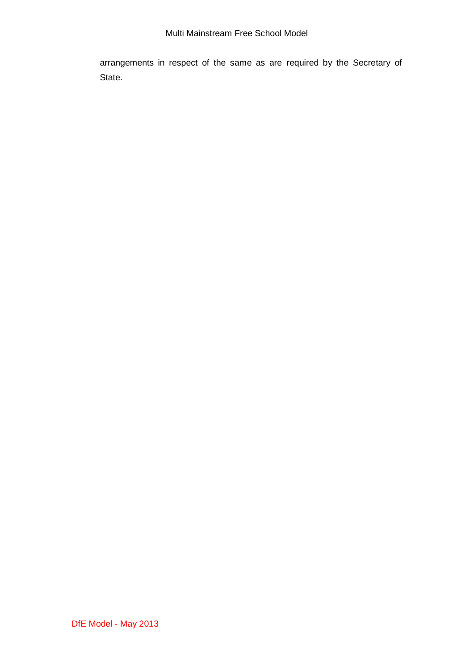arrangements in respect of the same as are required by the Secretary of State.